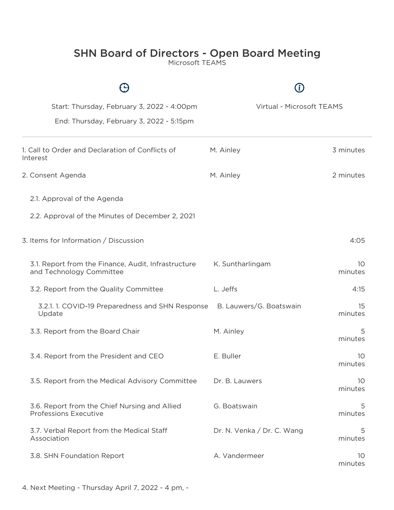## SHN Board of Directors - Open Board Meeting

Microsoft TEAMS

| Start: Thursday, February 3, 2022 - 4:00pm                                      | Virtual - Microsoft TEAMS  |               |
|---------------------------------------------------------------------------------|----------------------------|---------------|
| End: Thursday, February 3, 2022 - 5:15pm                                        |                            |               |
| 1. Call to Order and Declaration of Conflicts of<br>Interest                    | M. Ainley                  | 3 minutes     |
| 2. Consent Agenda                                                               | M. Ainley                  | 2 minutes     |
| 2.1. Approval of the Agenda                                                     |                            |               |
| 2.2. Approval of the Minutes of December 2, 2021                                |                            |               |
| 3. Items for Information / Discussion                                           |                            | 4:05          |
| 3.1. Report from the Finance, Audit, Infrastructure<br>and Technology Committee | K. Suntharlingam           | 10<br>minutes |
| 3.2. Report from the Quality Committee                                          | L. Jeffs                   | 4:15          |
| 3.2.1. 1. COVID-19 Preparedness and SHN Response<br>Update                      | B. Lauwers/G. Boatswain    | 15<br>minutes |
| 3.3. Report from the Board Chair                                                | M. Ainley                  | 5<br>minutes  |
| 3.4. Report from the President and CEO                                          | E. Buller                  | 10<br>minutes |
| 3.5. Report from the Medical Advisory Committee                                 | Dr. B. Lauwers             | 10<br>minutes |
| 3.6. Report from the Chief Nursing and Allied<br><b>Professions Executive</b>   | G. Boatswain               | 5<br>minutes  |
| 3.7. Verbal Report from the Medical Staff<br>Association                        | Dr. N. Venka / Dr. C. Wang | 5<br>minutes  |
| 3.8. SHN Foundation Report                                                      | A. Vandermeer              | 10<br>minutes |